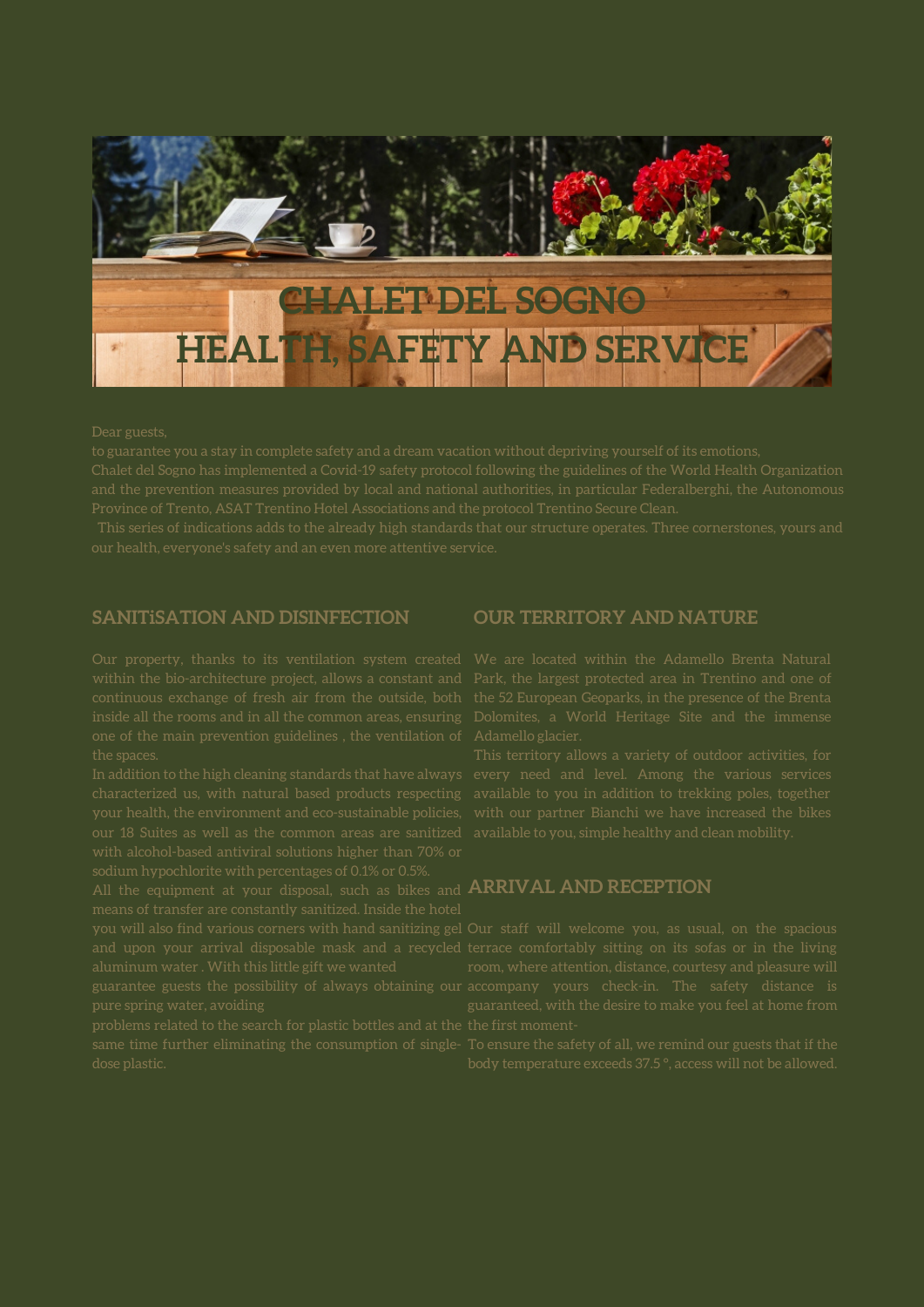

# **SANITiSATION AND DISINFECTION**

Our property, thanks to its ventilation system created We are located within the Adamello Brenta Natural within the bio-architecture project, allows a constant and Park, the largest protected area in Trentino and one of continuous exchange of fresh air from the outside, both the 52 European Geoparks, in the presence of the Brenta inside all the rooms and in all the common areas, ensuring Dolomites, a World Heritage Site and the immense one of the main prevention guidelines , the ventilation of Adamello glacier. the spaces. In addition to the high cleaning standards that have always every need and level. Among the various services characterized us, with natural based products respecting your health, the environment and eco-sustainable policies, our 18 Suites as well as the common areas are sanitized with alcohol-based antiviral solutions higher than 70% or sodium hypochlorite with percentages of 0.1% or 0.5%.

All the equipment at your disposal, such as bikes and **ARRIVAL AND RECEPTION** means of transfer are constantly sanitized. Inside the hotel

you will also find various corners with hand sanitizing gel Our staff will welcome you, as usual, on the spacious and upon your arrival disposable mask and a recycled terrace comfortably sitting on its sofas or in the living aluminum water . With this little gift we wanted guarantee guests the possibility of always obtaining our accompany yours check-in. The safety distance is pure spring water, avoiding

problems related to the search for plastic bottles and at the the first momentsame time further eliminating the consumption of single-To ensure the safety of all, we remind our guests that if the dose plastic.

## **OUR TERRITORY AND NATURE**

This territory allows a variety of outdoor activities, for available to you in addition to trekking poles, together with our partner Bianchi we have increased the bikes available to you, simple healthy and clean mobility.

room, where attention, distance, courtesy and pleasure will guaranteed, with the desire to make you feel at home from

body temperature exceeds 37.5 ° , access will not be allowed.

#### Dear guests,

to guarantee you a stay in complete safety and a dream vacation without depriving yourself of its emotions, Chalet del Sogno has implemented a Covid-19 safety protocol following the guidelines of the World Health Organization and the prevention measures provided by local and national authorities, in particular Federalberghi, the Autonomous Province of Trento, ASAT Trentino Hotel Associations and the protocol Trentino Secure Clean.

This series of indications adds to the already high standards that our structure operates. Three cornerstones, yours and our health, everyone's safety and an even more attentive service.